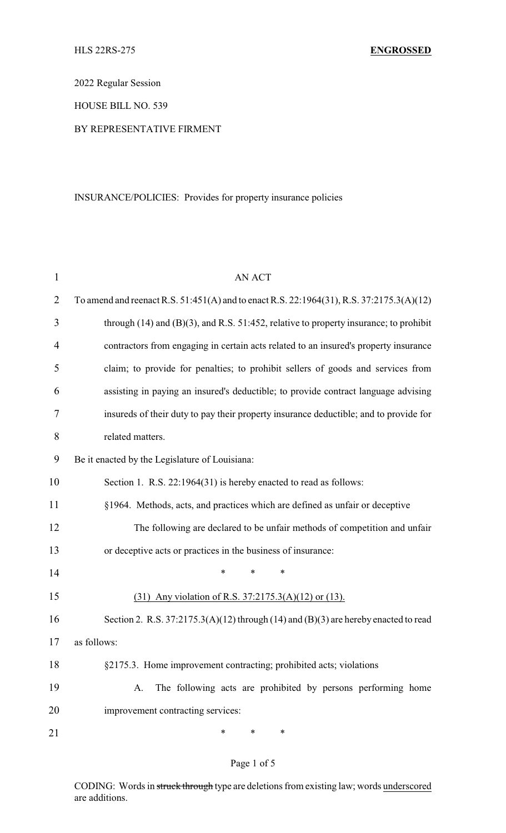2022 Regular Session

HOUSE BILL NO. 539

#### BY REPRESENTATIVE FIRMENT

## INSURANCE/POLICIES: Provides for property insurance policies

| $\mathbf{1}$   | <b>AN ACT</b>                                                                              |
|----------------|--------------------------------------------------------------------------------------------|
| $\overline{2}$ | To amend and reenact R.S. 51:451(A) and to enact R.S. 22:1964(31), R.S. 37:2175.3(A)(12)   |
| 3              | through $(14)$ and $(B)(3)$ , and R.S. 51:452, relative to property insurance; to prohibit |
| 4              | contractors from engaging in certain acts related to an insured's property insurance       |
| 5              | claim; to provide for penalties; to prohibit sellers of goods and services from            |
| 6              | assisting in paying an insured's deductible; to provide contract language advising         |
| 7              | insureds of their duty to pay their property insurance deductible; and to provide for      |
| 8              | related matters.                                                                           |
| 9              | Be it enacted by the Legislature of Louisiana:                                             |
| 10             | Section 1. R.S. 22:1964(31) is hereby enacted to read as follows:                          |
| 11             | §1964. Methods, acts, and practices which are defined as unfair or deceptive               |
| 12             | The following are declared to be unfair methods of competition and unfair                  |
| 13             | or deceptive acts or practices in the business of insurance:                               |
| 14             | $\ast$<br>*<br>$\ast$                                                                      |
| 15             | (31) Any violation of R.S. 37:2175.3(A)(12) or (13).                                       |
| 16             | Section 2. R.S. 37:2175.3(A)(12) through (14) and (B)(3) are hereby enacted to read        |
| 17             | as follows:                                                                                |
| 18             | §2175.3. Home improvement contracting; prohibited acts; violations                         |
| 19             | The following acts are prohibited by persons performing home<br>A.                         |
| 20             | improvement contracting services:                                                          |
| 21             | ∗<br>$\ast$<br>∗                                                                           |

## Page 1 of 5

CODING: Words in struck through type are deletions from existing law; words underscored are additions.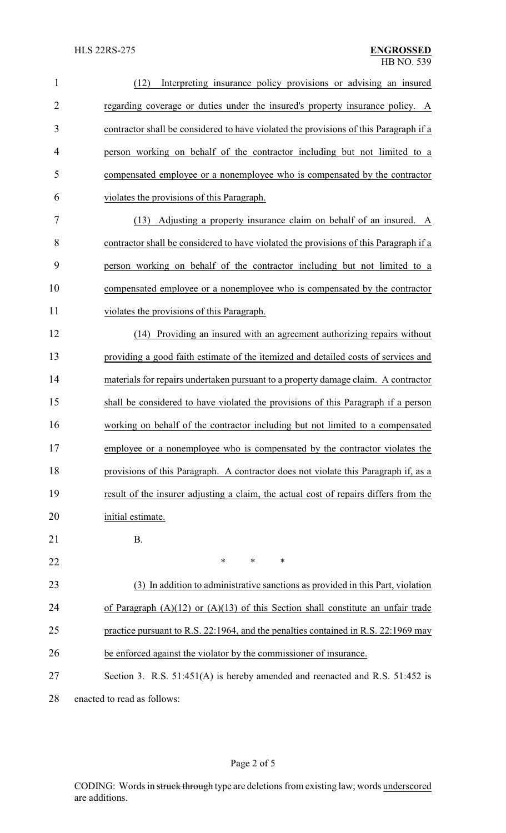| $\mathbf{1}$   | Interpreting insurance policy provisions or advising an insured<br>(12)               |
|----------------|---------------------------------------------------------------------------------------|
| $\overline{2}$ | regarding coverage or duties under the insured's property insurance policy. A         |
| 3              | contractor shall be considered to have violated the provisions of this Paragraph if a |
| $\overline{4}$ | person working on behalf of the contractor including but not limited to a             |
| 5              | compensated employee or a nonemployee who is compensated by the contractor            |
| 6              | violates the provisions of this Paragraph.                                            |
| 7              | Adjusting a property insurance claim on behalf of an insured. A<br>(13)               |
| 8              | contractor shall be considered to have violated the provisions of this Paragraph if a |
| 9              | person working on behalf of the contractor including but not limited to a             |
| 10             | compensated employee or a nonemployee who is compensated by the contractor            |
| 11             | violates the provisions of this Paragraph.                                            |
| 12             | (14) Providing an insured with an agreement authorizing repairs without               |
| 13             | providing a good faith estimate of the itemized and detailed costs of services and    |
| 14             | materials for repairs undertaken pursuant to a property damage claim. A contractor    |
| 15             | shall be considered to have violated the provisions of this Paragraph if a person     |
| 16             | working on behalf of the contractor including but not limited to a compensated        |
| 17             | employee or a nonemployee who is compensated by the contractor violates the           |
| 18             | provisions of this Paragraph. A contractor does not violate this Paragraph if, as a   |
| 19             | result of the insurer adjusting a claim, the actual cost of repairs differs from the  |
| 20             | initial estimate.                                                                     |
| 21             | <b>B.</b>                                                                             |
| 22             | *<br>*<br>∗                                                                           |
| 23             | (3) In addition to administrative sanctions as provided in this Part, violation       |
| 24             | of Paragraph $(A)(12)$ or $(A)(13)$ of this Section shall constitute an unfair trade  |
| 25             | practice pursuant to R.S. 22:1964, and the penalties contained in R.S. 22:1969 may    |
| 26             | be enforced against the violator by the commissioner of insurance.                    |
| 27             | Section 3. R.S. 51:451(A) is hereby amended and reenacted and R.S. 51:452 is          |
| 28             | enacted to read as follows:                                                           |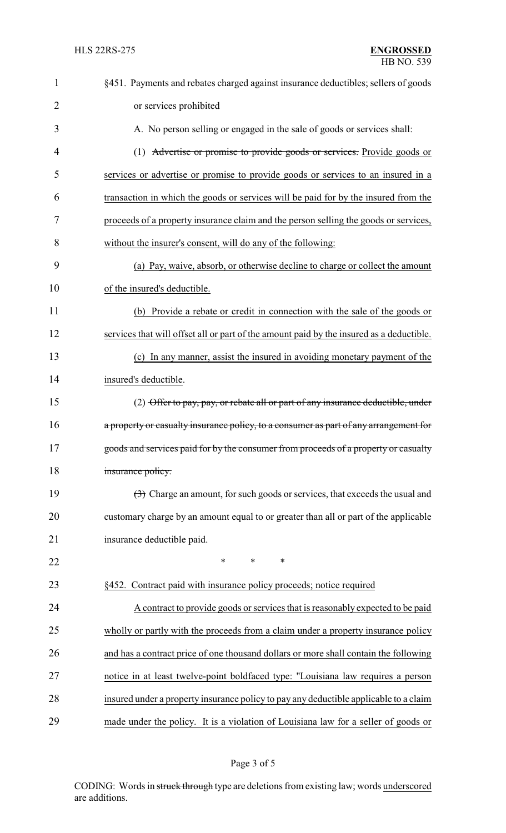| $\mathbf 1$    | §451. Payments and rebates charged against insurance deductibles; sellers of goods                  |
|----------------|-----------------------------------------------------------------------------------------------------|
| $\overline{2}$ | or services prohibited                                                                              |
| 3              | A. No person selling or engaged in the sale of goods or services shall:                             |
| 4              | (1) Advertise or promise to provide goods or services. Provide goods or                             |
| 5              | services or advertise or promise to provide goods or services to an insured in a                    |
| 6              | transaction in which the goods or services will be paid for by the insured from the                 |
| 7              | proceeds of a property insurance claim and the person selling the goods or services,                |
| 8              | without the insurer's consent, will do any of the following:                                        |
| 9              | (a) Pay, waive, absorb, or otherwise decline to charge or collect the amount                        |
| 10             | of the insured's deductible.                                                                        |
| 11             | (b) Provide a rebate or credit in connection with the sale of the goods or                          |
| 12             | services that will offset all or part of the amount paid by the insured as a deductible.            |
| 13             | (c) In any manner, assist the insured in avoiding monetary payment of the                           |
| 14             | insured's deductible.                                                                               |
| 15             | (2) Offer to pay, pay, or rebate all or part of any insurance deductible, under                     |
| 16             | a property or casualty insurance policy, to a consumer as part of any arrangement for               |
| 17             | goods and services paid for by the consumer from proceeds of a property or casualty                 |
| 18             | insurance policy.                                                                                   |
| 19             | $\left(\frac{1}{2}\right)$ Charge an amount, for such goods or services, that exceeds the usual and |
| 20             | customary charge by an amount equal to or greater than all or part of the applicable                |
| 21             | insurance deductible paid.                                                                          |
| 22             | $\ast$<br>*<br>∗                                                                                    |
| 23             | §452. Contract paid with insurance policy proceeds; notice required                                 |
| 24             | A contract to provide goods or services that is reasonably expected to be paid                      |
| 25             | wholly or partly with the proceeds from a claim under a property insurance policy                   |
| 26             | and has a contract price of one thousand dollars or more shall contain the following                |
| 27             | notice in at least twelve-point boldfaced type: "Louisiana law requires a person                    |
| 28             | insured under a property insurance policy to pay any deductible applicable to a claim               |
| 29             | made under the policy. It is a violation of Louisiana law for a seller of goods or                  |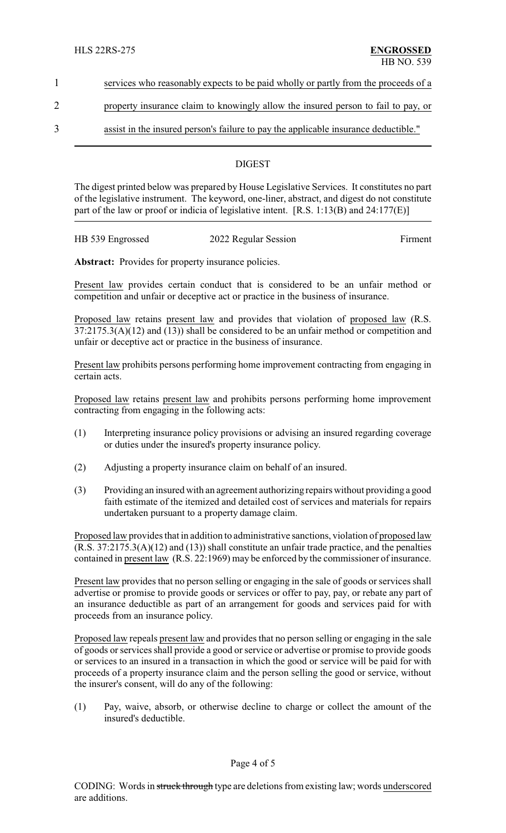1 services who reasonably expects to be paid wholly or partly from the proceeds of a

# 2 property insurance claim to knowingly allow the insured person to fail to pay, or

3 assist in the insured person's failure to pay the applicable insurance deductible."

#### **DIGEST**

The digest printed below was prepared by House Legislative Services. It constitutes no part of the legislative instrument. The keyword, one-liner, abstract, and digest do not constitute part of the law or proof or indicia of legislative intent. [R.S. 1:13(B) and 24:177(E)]

| HB 539 Engrossed | 2022 Regular Session | Firment |
|------------------|----------------------|---------|
|                  |                      |         |

Abstract: Provides for property insurance policies.

Present law provides certain conduct that is considered to be an unfair method or competition and unfair or deceptive act or practice in the business of insurance.

Proposed law retains present law and provides that violation of proposed law (R.S. 37:2175.3(A)(12) and (13)) shall be considered to be an unfair method or competition and unfair or deceptive act or practice in the business of insurance.

Present law prohibits persons performing home improvement contracting from engaging in certain acts.

Proposed law retains present law and prohibits persons performing home improvement contracting from engaging in the following acts:

- (1) Interpreting insurance policy provisions or advising an insured regarding coverage or duties under the insured's property insurance policy.
- (2) Adjusting a property insurance claim on behalf of an insured.
- (3) Providing an insured with an agreement authorizing repairs without providing a good faith estimate of the itemized and detailed cost of services and materials for repairs undertaken pursuant to a property damage claim.

Proposed law provides that in addition to administrative sanctions, violation of proposed law (R.S. 37:2175.3(A)(12) and (13)) shall constitute an unfair trade practice, and the penalties contained in present law (R.S. 22:1969) may be enforced by the commissioner of insurance.

Present law provides that no person selling or engaging in the sale of goods or services shall advertise or promise to provide goods or services or offer to pay, pay, or rebate any part of an insurance deductible as part of an arrangement for goods and services paid for with proceeds from an insurance policy.

Proposed law repeals present law and provides that no person selling or engaging in the sale of goods orservices shall provide a good or service or advertise or promise to provide goods or services to an insured in a transaction in which the good or service will be paid for with proceeds of a property insurance claim and the person selling the good or service, without the insurer's consent, will do any of the following:

(1) Pay, waive, absorb, or otherwise decline to charge or collect the amount of the insured's deductible.